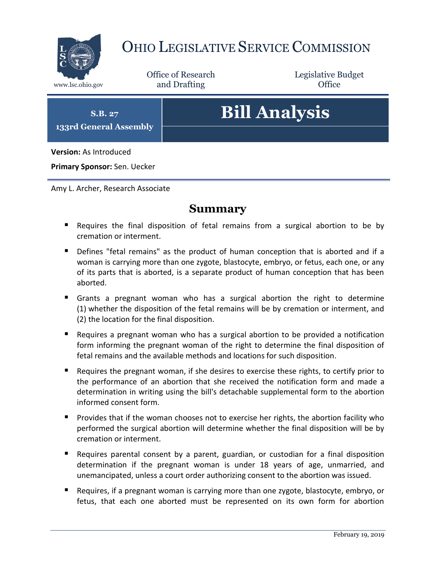

# OHIO LEGISLATIVE SERVICE COMMISSION

Office of Research www.lsc.ohio.gov and Drafting Control Control of Control Control Office

Legislative Budget

**S.B. 27 133rd General Assembly**

# **Bill Analysis**

**Version:** As Introduced

**Primary Sponsor:** Sen. Uecker

Amy L. Archer, Research Associate

#### **Summary**

- Requires the final disposition of fetal remains from a surgical abortion to be by cremation or interment.
- Defines "fetal remains" as the product of human conception that is aborted and if a woman is carrying more than one zygote, blastocyte, embryo, or fetus, each one, or any of its parts that is aborted, is a separate product of human conception that has been aborted.
- Grants a pregnant woman who has a surgical abortion the right to determine (1) whether the disposition of the fetal remains will be by cremation or interment, and (2) the location for the final disposition.
- Requires a pregnant woman who has a surgical abortion to be provided a notification form informing the pregnant woman of the right to determine the final disposition of fetal remains and the available methods and locations for such disposition.
- Requires the pregnant woman, if she desires to exercise these rights, to certify prior to the performance of an abortion that she received the notification form and made a determination in writing using the bill's detachable supplemental form to the abortion informed consent form.
- **Provides that if the woman chooses not to exercise her rights, the abortion facility who** performed the surgical abortion will determine whether the final disposition will be by cremation or interment.
- Requires parental consent by a parent, guardian, or custodian for a final disposition determination if the pregnant woman is under 18 years of age, unmarried, and unemancipated, unless a court order authorizing consent to the abortion was issued.
- **Requires, if a pregnant woman is carrying more than one zygote, blastocyte, embryo, or** fetus, that each one aborted must be represented on its own form for abortion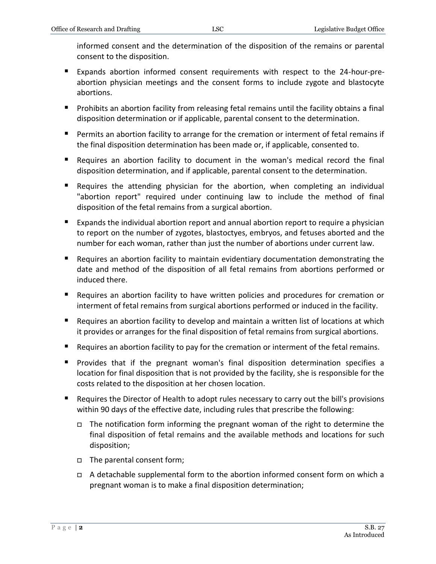informed consent and the determination of the disposition of the remains or parental consent to the disposition.

- Expands abortion informed consent requirements with respect to the 24-hour-preabortion physician meetings and the consent forms to include zygote and blastocyte abortions.
- **Prohibits an abortion facility from releasing fetal remains until the facility obtains a final** disposition determination or if applicable, parental consent to the determination.
- Permits an abortion facility to arrange for the cremation or interment of fetal remains if the final disposition determination has been made or, if applicable, consented to.
- Requires an abortion facility to document in the woman's medical record the final disposition determination, and if applicable, parental consent to the determination.
- Requires the attending physician for the abortion, when completing an individual "abortion report" required under continuing law to include the method of final disposition of the fetal remains from a surgical abortion.
- Expands the individual abortion report and annual abortion report to require a physician to report on the number of zygotes, blastoctyes, embryos, and fetuses aborted and the number for each woman, rather than just the number of abortions under current law.
- Requires an abortion facility to maintain evidentiary documentation demonstrating the date and method of the disposition of all fetal remains from abortions performed or induced there.
- Requires an abortion facility to have written policies and procedures for cremation or interment of fetal remains from surgical abortions performed or induced in the facility.
- Requires an abortion facility to develop and maintain a written list of locations at which it provides or arranges for the final disposition of fetal remains from surgical abortions.
- Requires an abortion facility to pay for the cremation or interment of the fetal remains.
- **Provides that if the pregnant woman's final disposition determination specifies a** location for final disposition that is not provided by the facility, she is responsible for the costs related to the disposition at her chosen location.
- Requires the Director of Health to adopt rules necessary to carry out the bill's provisions within 90 days of the effective date, including rules that prescribe the following:
	- $\Box$  The notification form informing the pregnant woman of the right to determine the final disposition of fetal remains and the available methods and locations for such disposition;
	- The parental consent form;
	- $\Box$  A detachable supplemental form to the abortion informed consent form on which a pregnant woman is to make a final disposition determination;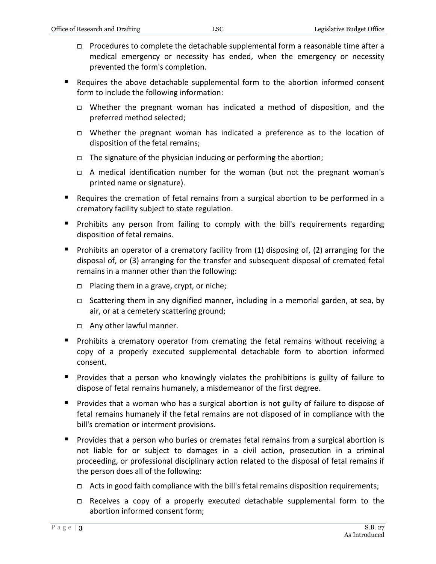- Procedures to complete the detachable supplemental form a reasonable time after a medical emergency or necessity has ended, when the emergency or necessity prevented the form's completion.
- Requires the above detachable supplemental form to the abortion informed consent form to include the following information:
	- Whether the pregnant woman has indicated a method of disposition, and the preferred method selected;
	- Whether the pregnant woman has indicated a preference as to the location of disposition of the fetal remains;
	- $\Box$  The signature of the physician inducing or performing the abortion;
	- A medical identification number for the woman (but not the pregnant woman's printed name or signature).
- Requires the cremation of fetal remains from a surgical abortion to be performed in a crematory facility subject to state regulation.
- **Prohibits any person from failing to comply with the bill's requirements regarding** disposition of fetal remains.
- **Prohibits an operator of a crematory facility from (1) disposing of, (2) arranging for the** disposal of, or (3) arranging for the transfer and subsequent disposal of cremated fetal remains in a manner other than the following:
	- $\Box$  Placing them in a grave, crypt, or niche;
	- Scattering them in any dignified manner, including in a memorial garden, at sea, by air, or at a cemetery scattering ground;
	- Any other lawful manner.
- **Prohibits a crematory operator from cremating the fetal remains without receiving a** copy of a properly executed supplemental detachable form to abortion informed consent.
- **Provides that a person who knowingly violates the prohibitions is guilty of failure to** dispose of fetal remains humanely, a misdemeanor of the first degree.
- **Provides that a woman who has a surgical abortion is not guilty of failure to dispose of** fetal remains humanely if the fetal remains are not disposed of in compliance with the bill's cremation or interment provisions.
- **Provides that a person who buries or cremates fetal remains from a surgical abortion is** not liable for or subject to damages in a civil action, prosecution in a criminal proceeding, or professional disciplinary action related to the disposal of fetal remains if the person does all of the following:
	- $\Box$  Acts in good faith compliance with the bill's fetal remains disposition requirements;
	- Receives a copy of a properly executed detachable supplemental form to the abortion informed consent form;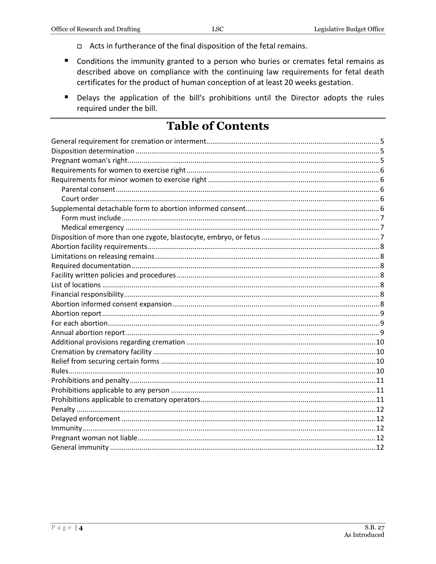- □ Acts in furtherance of the final disposition of the fetal remains.
- Conditions the immunity granted to a person who buries or cremates fetal remains as described above on compliance with the continuing law requirements for fetal death certificates for the product of human conception of at least 20 weeks gestation.
- Delays the application of the bill's prohibitions until the Director adopts the rules required under the bill.

### **Table of Contents**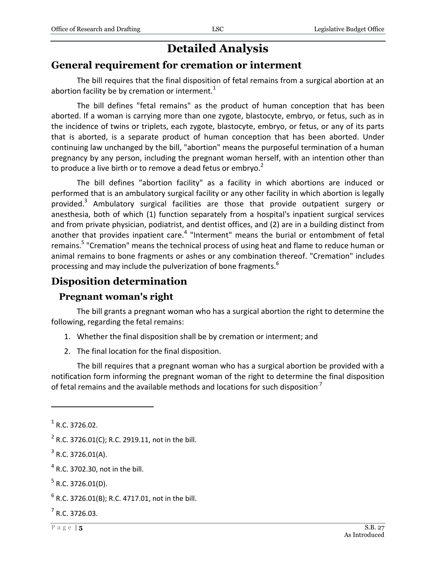## **Detailed Analysis**

#### <span id="page-4-0"></span>**General requirement for cremation or interment**

The bill requires that the final disposition of fetal remains from a surgical abortion at an abortion facility be by cremation or interment. $1$ 

The bill defines "fetal remains" as the product of human conception that has been aborted. If a woman is carrying more than one zygote, blastocyte, embryo, or fetus, such as in the incidence of twins or triplets, each zygote, blastocyte, embryo, or fetus, or any of its parts that is aborted, is a separate product of human conception that has been aborted. Under continuing law unchanged by the bill, "abortion" means the purposeful termination of a human pregnancy by any person, including the pregnant woman herself, with an intention other than to produce a live birth or to remove a dead fetus or embryo. $2^2$ 

The bill defines "abortion facility" as a facility in which abortions are induced or performed that is an ambulatory surgical facility or any other facility in which abortion is legally provided.<sup>3</sup> Ambulatory surgical facilities are those that provide outpatient surgery or anesthesia, both of which (1) function separately from a hospital's inpatient surgical services and from private physician, podiatrist, and dentist offices, and (2) are in a building distinct from another that provides inpatient care.<sup>4</sup> "Interment" means the burial or entombment of fetal remains.<sup>5</sup> "Cremation" means the technical process of using heat and flame to reduce human or animal remains to bone fragments or ashes or any combination thereof. "Cremation" includes processing and may include the pulverization of bone fragments.<sup>6</sup>

#### <span id="page-4-1"></span>**Disposition determination**

#### <span id="page-4-2"></span>**Pregnant woman's right**

The bill grants a pregnant woman who has a surgical abortion the right to determine the following, regarding the fetal remains:

- 1. Whether the final disposition shall be by cremation or interment; and
- 2. The final location for the final disposition.

The bill requires that a pregnant woman who has a surgical abortion be provided with a notification form informing the pregnant woman of the right to determine the final disposition of fetal remains and the available methods and locations for such disposition<sup>7</sup>

 $\overline{a}$ 

 $<sup>4</sup>$  R.C. 3702.30, not in the bill.</sup>

 $<sup>1</sup>$  R.C. 3726.02.</sup>

 $2^2$  R.C. 3726.01(C); R.C. 2919.11, not in the bill.

 $3$  R.C. 3726.01(A).

 $5$  R.C. 3726.01(D).

 $^6$  R.C. 3726.01(B); R.C. 4717.01, not in the bill.

 $<sup>7</sup>$  R.C. 3726.03.</sup>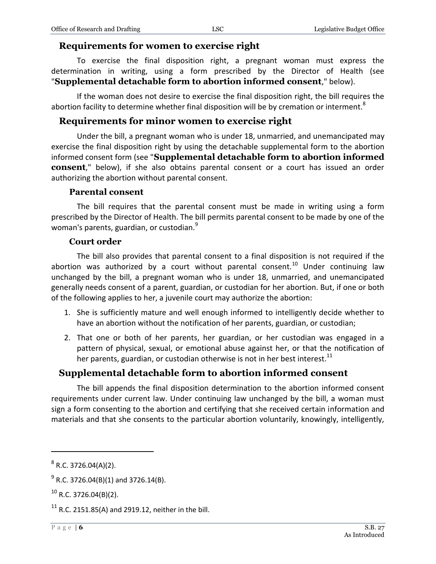#### <span id="page-5-0"></span>**Requirements for women to exercise right**

To exercise the final disposition right, a pregnant woman must express the determination in writing, using a form prescribed by the Director of Health (see "**Supplemental detachable form to abortion informed consent**," below).

If the woman does not desire to exercise the final disposition right, the bill requires the abortion facility to determine whether final disposition will be by cremation or interment.<sup>8</sup>

#### <span id="page-5-1"></span>**Requirements for minor women to exercise right**

Under the bill, a pregnant woman who is under 18, unmarried, and unemancipated may exercise the final disposition right by using the detachable supplemental form to the abortion informed consent form (see "**Supplemental detachable form to abortion informed consent**," below), if she also obtains parental consent or a court has issued an order authorizing the abortion without parental consent.

#### **Parental consent**

<span id="page-5-2"></span>The bill requires that the parental consent must be made in writing using a form prescribed by the Director of Health. The bill permits parental consent to be made by one of the woman's parents, guardian, or custodian.<sup>9</sup>

#### **Court order**

<span id="page-5-3"></span>The bill also provides that parental consent to a final disposition is not required if the abortion was authorized by a court without parental consent.<sup>10</sup> Under continuing law unchanged by the bill, a pregnant woman who is under 18, unmarried, and unemancipated generally needs consent of a parent, guardian, or custodian for her abortion. But, if one or both of the following applies to her, a juvenile court may authorize the abortion:

- 1. She is sufficiently mature and well enough informed to intelligently decide whether to have an abortion without the notification of her parents, guardian, or custodian;
- 2. That one or both of her parents, her guardian, or her custodian was engaged in a pattern of physical, sexual, or emotional abuse against her, or that the notification of her parents, guardian, or custodian otherwise is not in her best interest.<sup>11</sup>

#### <span id="page-5-4"></span>**Supplemental detachable form to abortion informed consent**

The bill appends the final disposition determination to the abortion informed consent requirements under current law. Under continuing law unchanged by the bill, a woman must sign a form consenting to the abortion and certifying that she received certain information and materials and that she consents to the particular abortion voluntarily, knowingly, intelligently,

 $8$  R.C. 3726.04(A)(2).

 $^{9}$  R.C. 3726.04(B)(1) and 3726.14(B).

 $^{10}$  R.C. 3726.04(B)(2).

 $11$  R.C. 2151.85(A) and 2919.12, neither in the bill.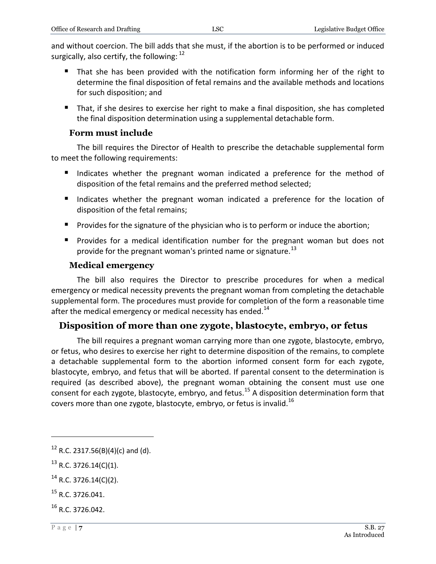and without coercion. The bill adds that she must, if the abortion is to be performed or induced surgically, also certify, the following:  $^{12}$ 

- That she has been provided with the notification form informing her of the right to determine the final disposition of fetal remains and the available methods and locations for such disposition; and
- That, if she desires to exercise her right to make a final disposition, she has completed the final disposition determination using a supplemental detachable form.

#### **Form must include**

<span id="page-6-0"></span>The bill requires the Director of Health to prescribe the detachable supplemental form to meet the following requirements:

- Indicates whether the pregnant woman indicated a preference for the method of disposition of the fetal remains and the preferred method selected;
- Indicates whether the pregnant woman indicated a preference for the location of disposition of the fetal remains;
- **Provides for the signature of the physician who is to perform or induce the abortion;**
- **Provides for a medical identification number for the pregnant woman but does not** provide for the pregnant woman's printed name or signature.<sup>13</sup>

#### **Medical emergency**

<span id="page-6-1"></span>The bill also requires the Director to prescribe procedures for when a medical emergency or medical necessity prevents the pregnant woman from completing the detachable supplemental form. The procedures must provide for completion of the form a reasonable time after the medical emergency or medical necessity has ended.<sup>14</sup>

#### <span id="page-6-2"></span>**Disposition of more than one zygote, blastocyte, embryo, or fetus**

The bill requires a pregnant woman carrying more than one zygote, blastocyte, embryo, or fetus, who desires to exercise her right to determine disposition of the remains, to complete a detachable supplemental form to the abortion informed consent form for each zygote, blastocyte, embryo, and fetus that will be aborted. If parental consent to the determination is required (as described above), the pregnant woman obtaining the consent must use one consent for each zygote, blastocyte, embryo, and fetus.<sup>15</sup> A disposition determination form that covers more than one zygote, blastocyte, embryo, or fetus is invalid.<sup>16</sup>

 $12$  R.C. 2317.56(B)(4)(c) and (d).

 $^{13}$  R.C. 3726.14(C)(1).

 $^{14}$  R.C. 3726.14(C)(2).

 $15$  R.C. 3726.041.

<sup>&</sup>lt;sup>16</sup> R.C. 3726.042.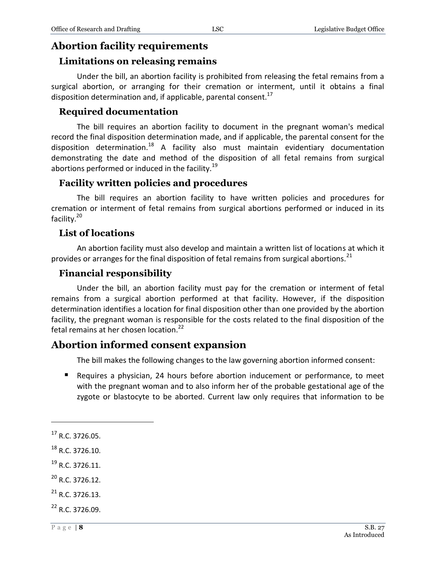#### <span id="page-7-0"></span>**Abortion facility requirements**

#### <span id="page-7-1"></span>**Limitations on releasing remains**

Under the bill, an abortion facility is prohibited from releasing the fetal remains from a surgical abortion, or arranging for their cremation or interment, until it obtains a final disposition determination and, if applicable, parental consent.<sup>17</sup>

#### <span id="page-7-2"></span>**Required documentation**

The bill requires an abortion facility to document in the pregnant woman's medical record the final disposition determination made, and if applicable, the parental consent for the disposition determination.<sup>18</sup> A facility also must maintain evidentiary documentation demonstrating the date and method of the disposition of all fetal remains from surgical abortions performed or induced in the facility.<sup>19</sup>

#### <span id="page-7-3"></span>**Facility written policies and procedures**

The bill requires an abortion facility to have written policies and procedures for cremation or interment of fetal remains from surgical abortions performed or induced in its facility.<sup>20</sup>

#### <span id="page-7-4"></span>**List of locations**

An abortion facility must also develop and maintain a written list of locations at which it provides or arranges for the final disposition of fetal remains from surgical abortions.<sup>21</sup>

#### <span id="page-7-5"></span>**Financial responsibility**

Under the bill, an abortion facility must pay for the cremation or interment of fetal remains from a surgical abortion performed at that facility. However, if the disposition determination identifies a location for final disposition other than one provided by the abortion facility, the pregnant woman is responsible for the costs related to the final disposition of the fetal remains at her chosen location.<sup>22</sup>

#### <span id="page-7-6"></span>**Abortion informed consent expansion**

The bill makes the following changes to the law governing abortion informed consent:

 Requires a physician, 24 hours before abortion inducement or performance, to meet with the pregnant woman and to also inform her of the probable gestational age of the zygote or blastocyte to be aborted. Current law only requires that information to be

 $17$  R.C. 3726.05.

<sup>18</sup> R.C. 3726.10.

 $^{19}$  R.C. 3726.11.

<sup>20</sup> R.C. 3726.12.

 $^{21}$  R.C. 3726.13.

<sup>&</sup>lt;sup>22</sup> R.C. 3726.09.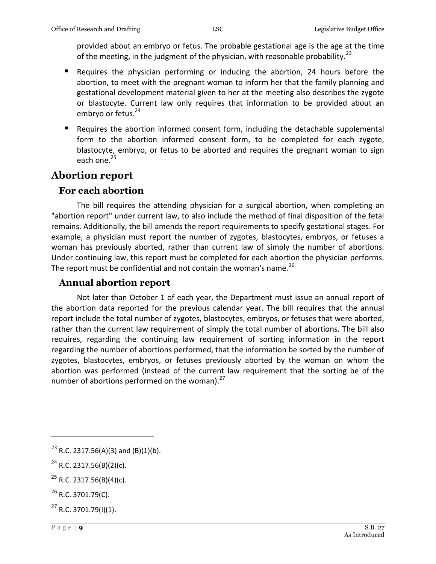provided about an embryo or fetus. The probable gestational age is the age at the time of the meeting, in the judgment of the physician, with reasonable probability.<sup>23</sup>

- Requires the physician performing or inducing the abortion, 24 hours before the abortion, to meet with the pregnant woman to inform her that the family planning and gestational development material given to her at the meeting also describes the zygote or blastocyte. Current law only requires that information to be provided about an embryo or fetus.<sup>24</sup>
- Requires the abortion informed consent form, including the detachable supplemental form to the abortion informed consent form, to be completed for each zygote, blastocyte, embryo, or fetus to be aborted and requires the pregnant woman to sign each one. $25$

#### <span id="page-8-0"></span>**Abortion report**

#### <span id="page-8-1"></span>**For each abortion**

The bill requires the attending physician for a surgical abortion, when completing an "abortion report" under current law, to also include the method of final disposition of the fetal remains. Additionally, the bill amends the report requirements to specify gestational stages. For example, a physician must report the number of zygotes, blastocytes, embryos, or fetuses a woman has previously aborted, rather than current law of simply the number of abortions. Under continuing law, this report must be completed for each abortion the physician performs. The report must be confidential and not contain the woman's name. $^{26}$ 

#### <span id="page-8-2"></span>**Annual abortion report**

Not later than October 1 of each year, the Department must issue an annual report of the abortion data reported for the previous calendar year. The bill requires that the annual report include the total number of zygotes, blastocytes, embryos, or fetuses that were aborted, rather than the current law requirement of simply the total number of abortions. The bill also requires, regarding the continuing law requirement of sorting information in the report regarding the number of abortions performed, that the information be sorted by the number of zygotes, blastocytes, embryos, or fetuses previously aborted by the woman on whom the abortion was performed (instead of the current law requirement that the sorting be of the number of abortions performed on the woman). $^{27}$ 

 $23$  R.C. 2317.56(A)(3) and (B)(1)(b).

 $24$  R.C. 2317.56(B)(2)(c).

 $^{25}$  R.C. 2317.56(B)(4)(c).

 $^{26}$  R.C. 3701.79(C).

 $^{27}$  R.C. 3701.79(I)(1).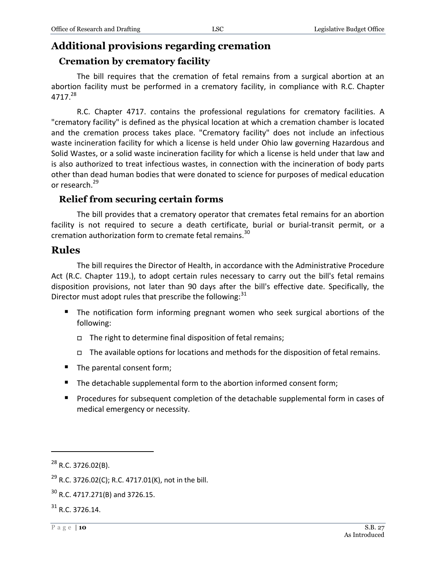#### <span id="page-9-0"></span>**Additional provisions regarding cremation**

#### <span id="page-9-1"></span>**Cremation by crematory facility**

The bill requires that the cremation of fetal remains from a surgical abortion at an abortion facility must be performed in a crematory facility, in compliance with R.C. Chapter 4717.<sup>28</sup>

R.C. Chapter 4717. contains the professional regulations for crematory facilities. A "crematory facility" is defined as the physical location at which a cremation chamber is located and the cremation process takes place. "Crematory facility" does not include an infectious waste incineration facility for which a license is held under Ohio law governing Hazardous and Solid Wastes, or a solid waste incineration facility for which a license is held under that law and is also authorized to treat infectious wastes, in connection with the incineration of body parts other than dead human bodies that were donated to science for purposes of medical education or research.<sup>29</sup>

#### <span id="page-9-2"></span>**Relief from securing certain forms**

The bill provides that a crematory operator that cremates fetal remains for an abortion facility is not required to secure a death certificate, burial or burial-transit permit, or a cremation authorization form to cremate fetal remains.<sup>30</sup>

#### <span id="page-9-3"></span>**Rules**

The bill requires the Director of Health, in accordance with the Administrative Procedure Act (R.C. Chapter 119.), to adopt certain rules necessary to carry out the bill's fetal remains disposition provisions, not later than 90 days after the bill's effective date. Specifically, the Director must adopt rules that prescribe the following: $31$ 

- The notification form informing pregnant women who seek surgical abortions of the following:
	- $\Box$  The right to determine final disposition of fetal remains;
	- The available options for locations and methods for the disposition of fetal remains.
- The parental consent form;
- The detachable supplemental form to the abortion informed consent form;
- **Procedures for subsequent completion of the detachable supplemental form in cases of** medical emergency or necessity.

 $\overline{a}$ 

 $31$  R.C. 3726.14.

 $^{28}$  R.C. 3726.02(B).

<sup>&</sup>lt;sup>29</sup> R.C. 3726.02(C); R.C. 4717.01(K), not in the bill.

 $30$  R.C. 4717.271(B) and 3726.15.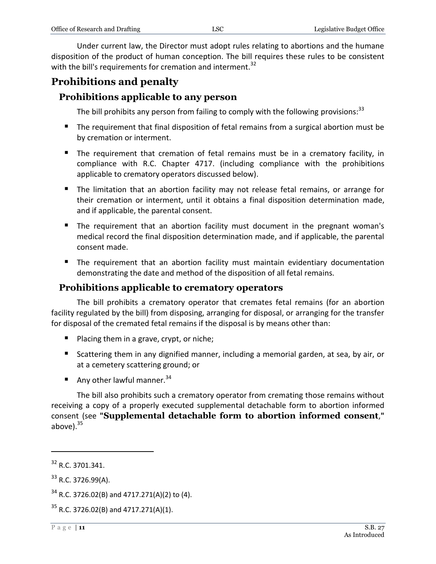Under current law, the Director must adopt rules relating to abortions and the humane disposition of the product of human conception. The bill requires these rules to be consistent with the bill's requirements for cremation and interment.<sup>32</sup>

#### <span id="page-10-0"></span>**Prohibitions and penalty**

#### <span id="page-10-1"></span>**Prohibitions applicable to any person**

The bill prohibits any person from failing to comply with the following provisions:  $33$ 

- The requirement that final disposition of fetal remains from a surgical abortion must be by cremation or interment.
- The requirement that cremation of fetal remains must be in a crematory facility, in compliance with R.C. Chapter 4717. (including compliance with the prohibitions applicable to crematory operators discussed below).
- The limitation that an abortion facility may not release fetal remains, or arrange for their cremation or interment, until it obtains a final disposition determination made, and if applicable, the parental consent.
- The requirement that an abortion facility must document in the pregnant woman's medical record the final disposition determination made, and if applicable, the parental consent made.
- **The requirement that an abortion facility must maintain evidentiary documentation** demonstrating the date and method of the disposition of all fetal remains.

#### <span id="page-10-2"></span>**Prohibitions applicable to crematory operators**

The bill prohibits a crematory operator that cremates fetal remains (for an abortion facility regulated by the bill) from disposing, arranging for disposal, or arranging for the transfer for disposal of the cremated fetal remains if the disposal is by means other than:

- $\blacksquare$  Placing them in a grave, crypt, or niche;
- Scattering them in any dignified manner, including a memorial garden, at sea, by air, or at a cemetery scattering ground; or
- Any other lawful manner.<sup>34</sup>

The bill also prohibits such a crematory operator from cremating those remains without receiving a copy of a properly executed supplemental detachable form to abortion informed consent (see **"Supplemental detachable form to abortion informed consent**,**"** above). $35$ 

 $32$  R.C. 3701.341.

 $33$  R.C. 3726.99(A).

 $34$  R.C. 3726.02(B) and 4717.271(A)(2) to (4).

 $35$  R.C. 3726.02(B) and 4717.271(A)(1).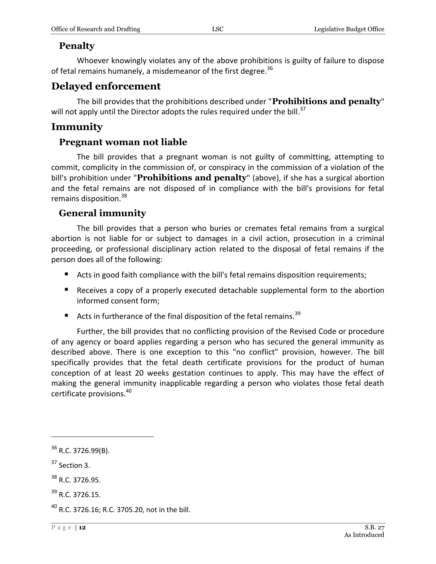#### <span id="page-11-0"></span>**Penalty**

Whoever knowingly violates any of the above prohibitions is guilty of failure to dispose of fetal remains humanely, a misdemeanor of the first degree.<sup>36</sup>

#### <span id="page-11-1"></span>**Delayed enforcement**

The bill provides that the prohibitions described under "**Prohibitions and penalty**" will not apply until the Director adopts the rules required under the bill.<sup>37</sup>

#### <span id="page-11-2"></span>**Immunity**

#### <span id="page-11-3"></span>**Pregnant woman not liable**

The bill provides that a pregnant woman is not guilty of committing, attempting to commit, complicity in the commission of, or conspiracy in the commission of a violation of the bill's prohibition under "**Prohibitions and penalty**" (above), if she has a surgical abortion and the fetal remains are not disposed of in compliance with the bill's provisions for fetal remains disposition.<sup>38</sup>

#### <span id="page-11-4"></span>**General immunity**

The bill provides that a person who buries or cremates fetal remains from a surgical abortion is not liable for or subject to damages in a civil action, prosecution in a criminal proceeding, or professional disciplinary action related to the disposal of fetal remains if the person does all of the following:

- Acts in good faith compliance with the bill's fetal remains disposition requirements;
- Receives a copy of a properly executed detachable supplemental form to the abortion informed consent form;
- Acts in furtherance of the final disposition of the fetal remains.<sup>39</sup>

Further, the bill provides that no conflicting provision of the Revised Code or procedure of any agency or board applies regarding a person who has secured the general immunity as described above. There is one exception to this "no conflict" provision, however. The bill specifically provides that the fetal death certificate provisions for the product of human conception of at least 20 weeks gestation continues to apply. This may have the effect of making the general immunity inapplicable regarding a person who violates those fetal death certificate provisions.<sup>40</sup>

<sup>&</sup>lt;sup>36</sup> R.C. 3726.99(B).

 $37$  Section 3.

<sup>&</sup>lt;sup>38</sup> R.C. 3726.95.

 $39$  R.C. 3726.15.

 $^{40}$  R.C. 3726.16; R.C. 3705.20, not in the bill.